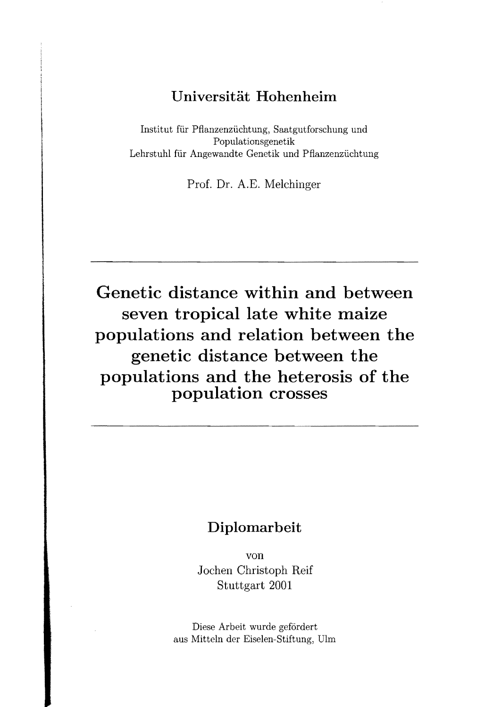## **Universität Hohenheim**

Institut für Pfianzenzüchtung, Saatgutforschung und Populationsgenetik Lehrstuhl für Angewandte Genetik und Pfianzenzüchtung

Prof. Dr. A.E. Melchinger

Genetic distance within and between **seven tropical late white maize populations and relation between the genetic distance between the populations and the heterosis of the population crosses** 

## **Diplomarbeit**

von Joehen Christoph Reif Stuttgart 2001

Diese Arbeit wurde gefördert aus Mitteln der Eiselen-Stiftung, DIrn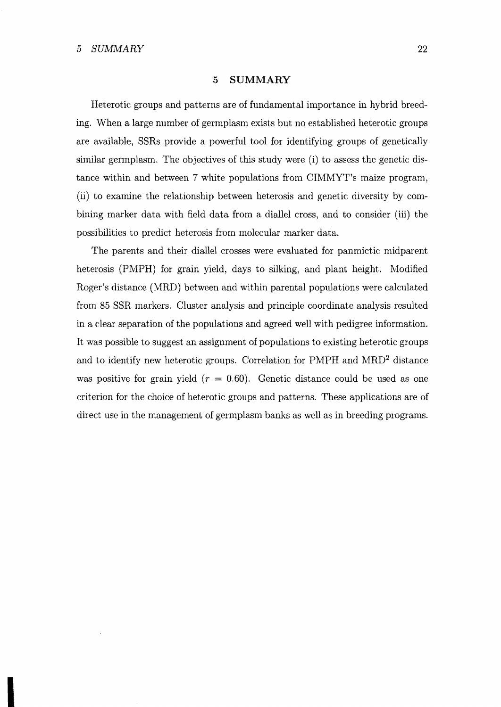## 5 **SUMMARY**

Heterotic groups and patterns are of fundamental importance in hybrid breeding. When a large number of germplasm exists but no established heterotic groups are available, SSRs provide a powerful tool for identifying groups of genetically similar germplasm. The objectives of this study were (i) to assess the genetic distance within and between 7 white populations from CIMMYT's maize program, (ii) to examine the relationship between heterosis and genetic diversity by combining marker data with field data from a diallel cross, and to consider (iii) the possibilities to predict heterosis from molecular marker data.

The parents and their diallel crosses were evaluated for panmictic midparent heterosis (PMPH) for grain yield, days to silking, and plant height. Modified Roger's distance (MRD) between and within parental populations were calculated from 85 SSR markers. Cluster analysis and principle coordinate analysis resulted in a clear separation of the populations and agreed weH with pedigree information. It was possible to suggest an assignment of populations to existing heterotic groups and to identify new heterotic groups. Correlation for PMPH and MRD2 distance was positive for grain yield  $(r = 0.60)$ . Genetic distance could be used as one criterion for the choice of heterotic groups and patterns. These applications are of direct use in the management of germplasm banks as well as in breeding programs.